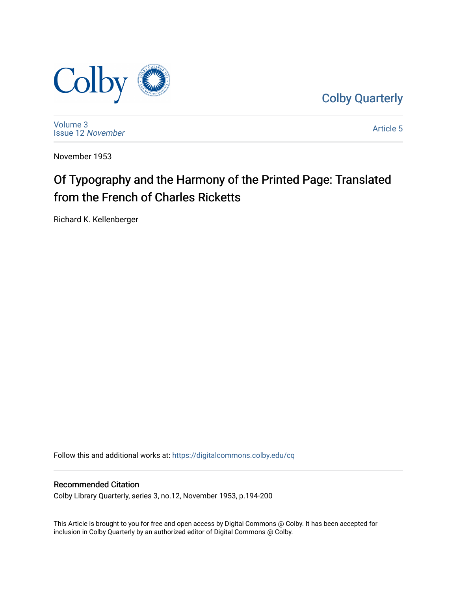

[Colby Quarterly](https://digitalcommons.colby.edu/cq) 

[Volume 3](https://digitalcommons.colby.edu/cq/vol3) [Issue 12](https://digitalcommons.colby.edu/cq/vol3/iss12) November

[Article 5](https://digitalcommons.colby.edu/cq/vol3/iss12/5) 

November 1953

# Of Typography and the Harmony of the Printed Page: Translated from the French of Charles Ricketts

Richard K. Kellenberger

Follow this and additional works at: [https://digitalcommons.colby.edu/cq](https://digitalcommons.colby.edu/cq?utm_source=digitalcommons.colby.edu%2Fcq%2Fvol3%2Fiss12%2F5&utm_medium=PDF&utm_campaign=PDFCoverPages)

#### Recommended Citation

Colby Library Quarterly, series 3, no.12, November 1953, p.194-200

This Article is brought to you for free and open access by Digital Commons @ Colby. It has been accepted for inclusion in Colby Quarterly by an authorized editor of Digital Commons @ Colby.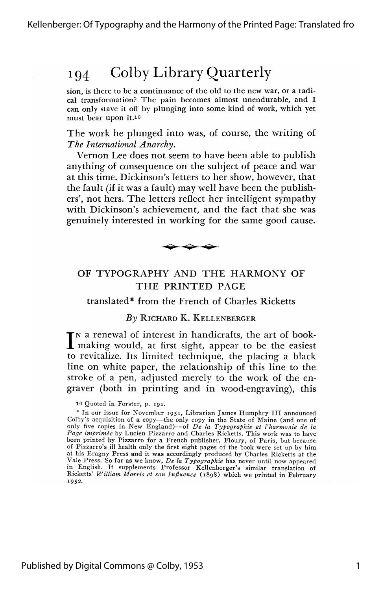sion, is there to be a continuance of the old to the new war, or a radical transformation? The pain becomes almost unendurable, and I can only stave it off by plunging into some kind of work, which yet must bear upon it.10

The work he plunged into was, of course, the writing of *The International Anarchy.*

Vernon Lee does not seem to have been able to publish anything of consequence on the subject of peace and war at this time. Dickinson's letters to her show, however, that the fault (if it was a fault) may well have been the publishers', not hers. The letters reflect her intelligent sympathy with Dickinson's achievement, and the fact that she was genuinely interested in working for the same good cause.



#### OF TYPOGRAPHY AND THE HARMONY OF THE PRINTED PAGE

translated\* from the French of Charles Ricketts

#### *By* RICHARD K. KELLENBERGER

IN a renewal of interest in handicrafts, the art of book-<br>making would, at first sight, appear to be the easiest I making would, at first sight, appear to be the easiest to revitalize. Its limited technique, the placing a black line on white paper, the relationship of this line to the stroke of a pen, adjusted merely to the work of the engraver (both in printing and in wood-engraving), this

10 Quoted in Forster, p. 192.

<sup>\*</sup> In our issue for November 1951, Librarian James Humphry III announced Colby's acquisition of a copy—the only copy in the State of Maine (and one of only five copies in New England)—of *De la Typographie et l'harmonie de Page imprimee* by Lucien Pizzarro and Charles Ricketts. This work was to have been printed by Pizzarro for a French publisher, Floury, of Paris, but because of Pizzarro's ill health only the first eight pages of the book were set up by him at his Eragny Press and it was accordingly produced by Charles Ricketts at the Vale Press. So far as we know, *De la Typographie* has never until now appeared in English. It supplements Professor Kellenberger's similar translation of Ricketts' William Morris et son Influence (1898) which we printed in February 1952.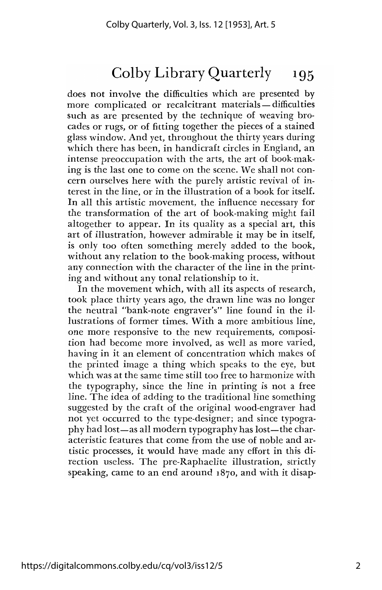does not involve the difficulties which are presented by more complicated or recalcitrant materials-difficulties such as are presented by the technique of weaving brocades or rugs, or of fitting together the pieces of a stained glass window. And yet, throughout the thirty years during which there has been, in handicraft circles in England, an intense preoccupation with the arts, the art of book-making is the last one to come on the scene. We shall not concern ourselves here with the purely artistic revival of interest in the line, or in the illustration of a book for itself. In all this artistic movement, the influence necessary for the transformation of the art of book-making might fail altogether to appear. In its quality as a special art, this art of illustration, however admirable it may be in itself, is only too often something merely added to the book, without any relation to the book-making process, without any connection with the character of the line in the printing and without any tonal relationship to it.

In the movement which, with all its aspects of research, took place thirty years ago, the drawn line was no longer the neutral "bank-note engraver's" line found in the illustrations of former times. With a more ambitious line, one more responsive to the new requirements, composition had become more involved, as well as more varied, having in it an element of concentration which makes of the printed image a thing which speaks to the eye, but which was at the same time still too free to harmonize with the typography, since the line in printing is not a free line. The idea of adding to the traditional line something suggested by the craft of the original wood-engraver had not yet occurred to the type-designer; and since typography had lost—as all modern typography has lost—the characteristic features that come from the use of noble and artistic processes, it would have made any effort in this direction useless. The pre-Raphaelite illustration, strictly speaking, came to an end around 1870, and with it disap-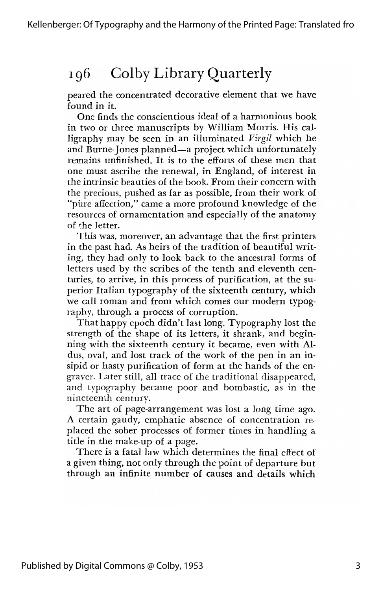peared the concentrated decorative element that we have found in it.

One finds the conscientious ideal of a harmonious book in two or three manuscripts by William Morris. His calligraphy may be seen in an illuminated Virgil which he and Burne-Jones planned-a project which unfortunately remains unfinished. It is to the efforts of these men that one must ascribe the renewal, in England, of interest in the intrinsic beauties of the book. From their concern with the precious, pushed as far as possible, from their work of "pure affection," came a more profound knowledge of the resources of ornamentation and especially of the anatomy of the letter.

This was, moreover, an advantage that the first printers in the past had. As heirs of the tradition of beautiful writing, they had only to look back to the ancestral forms of letters used by the scribes of the tenth and eleventh centuries, to arrive, in this process of purification, at the superior Italian typography of the sixteenth century, which we call roman and from which comes our modern typography, through a process of corruption.

That happy epoch didn't last long. Typography lost the strength of the shape of its letters, it shrank, and beginning with the sixteenth century it became, even with Aldus, oval, and lost track of the work of the pen in an insipid or hasty purification of form at the hands of the engraver. Later still, all trace of the traditional disappeared, and typography became poor and bombastic, as in the nineteenth century.

The art of page-arrangement was lost a long time ago. A certain gaudy, emphatic absence of concentration replaced the sober processes of former times in handling a title in the make-up of a page.

There is a fatal law which determines the final effect of a given thing, not only through the point of departure but through an infinite number of causes and details which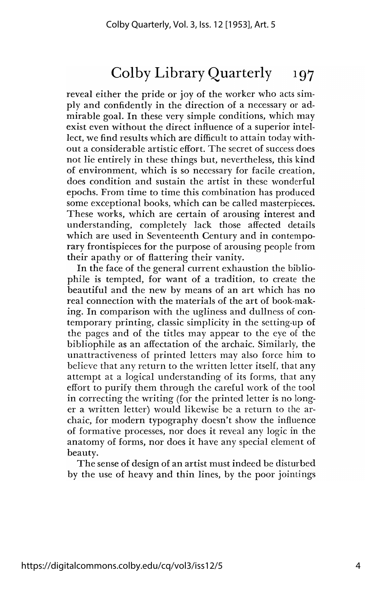reveal either the pride or joy of the worker who acts simply and confidently in the direction of a necessary or admirable goal. In these very simple conditions, which may exist even without the direct influence of a superior intellect, we find results which are difficult to attain today without a considerable artistic effort. The secret of success does not lie entirely in these things but, nevertheless, this kind of environment, which is so necessary for facile creation, does condition and sustain the artist in these wonderful epochs. From time to time this combination has produced some exceptional books, which can be called masterpieces. These works, which are certain of arousing interest and understanding, completely lack those affected details which are used in Seventeenth Century and in contemporary frontispieces for the purpose of arousing people from their apathy or of flattering their vanity.

In the face of the general current exhaustion the bibliophile is tempted, for want of a tradition, to create the beautiful and the new by means of an art which has no real connection with the materials of the art of book-making. In comparison with the ugliness and dullness of contemporary printing, classic simplicity in the setting-up of the pages and of the titles may appear to the eye of the bibliophile as an affectation of the archaic. Similarly, the unattractiveness of printed letters may also force him to believe that any return to the written letter itself, that any attempt at a logical understanding of its forms, that any effort to purify them through the careful work of the tool in correcting the writing (for the printed letter is no longer a written letter) would likewise be a return to the archaic, for modern typography doesn't show the influence of formative processes, nor does it reveal any logic in the anatomy of forms, nor does it have any special element of beauty.

The sense of design of an artist must indeed be disturbed by the use of heavy and thin lines, by the poor jointings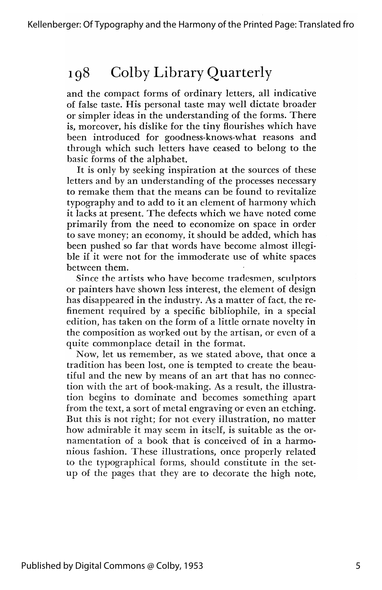and the compact forms of ordinary letters, all indicative of false taste. His personal taste may well dictate broader or simpler ideas in the understanding of the forms. There is, moreover, his dislike for the tiny flourishes which have been introduced for goodness-knows-what reasons and through which such letters have ceased to belong to the basic forms of the alphabet.

It is only by seeking inspiration at the sources of these letters and by an understanding of the processes necessary to remake them that the means can be found to revitalize typography and to add to it an element of harmony which it lacks at present. The defects which we have noted come primarily from the need to economize on space in order to save money; an economy, it should be added, which has been pushed so far that words have become almost illegible if it were not for the immoderate use of white spaces between them.

Since the artists who have become tradesmen; sculptors or painters have shown less interest, the element of design has disappeared in the industry. As a matter of fact, the refinement required by a specific bibliophile, in a special edition, has taken on the form of a little ornate novelty in the composition as worked out by the artisan, or even of a quite commonplace detail in the format.

Now, let us remember, as we stated above, that once a tradition has been lost, one is tempted to create the beautiful and the new by means of an art that has no connection with the art of book-making. As a result, the illustration begins to dominate and becomes something apart from the text, a sort of metal engraving or even an etching. But this is not right; for not every illustration, no matter how admirable it may seem in itself, is suitable as the ornamentation of a book that is conceived of in a harmonious fashion. These illustrations, once properly related to the typographical forms, should constitute in the setup of the pages that they are to decorate the high note,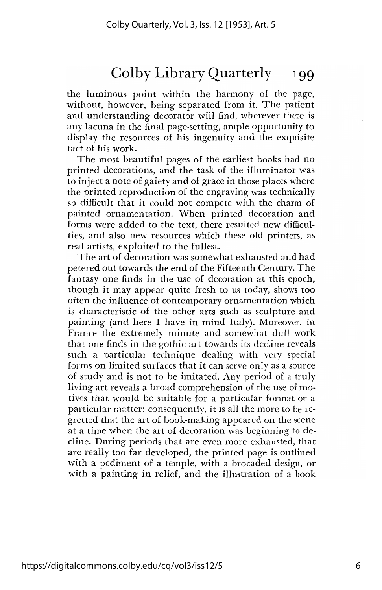the luminous point within the harmony of the page, without, however, being separated from it. The patient and understanding decorator will find, wherever there is any lacuna in the final page-setting, ample opportunity to display the resources of his ingenuity and the exquisite tact of his work.

The most beautiful pages of the earliest books had no printed decorations, and the task of the illuminator was to inject a note of gaiety and of grace in those places where the printed reproduction of the engraving was technically so difficult that it could not compete with the charm of painted ornamentation. When printed decoration and forms were added to the text, there resulted new difficulties, and also new resources which these old printers, as real artists, exploited to the fullest.

The art of decoration was somewhat exhausted and had petered out towards the end of the Fifteenth Century. The fantasy one finds in the use of decoration at this epoch, though it may appear quite fresh to us today, shows too often the influence of contemporary ornamentation which is characteristic of the other arts such as sculpture and painting (and here I have in mind Italy). Moreover, in France the extremely minute and somewhat dull work that one finds in the gothic art towards its decline reveals such a particular technique dealing with very special forms on limited surfaces that it can serve only as a source of study and is not to be imitated. Any period of a truly living art reveals a broad comprehension of the use of motives that would be suitable for a particular format or a particular matter; consequently, it is all the more to be regretted that the art of book-making appeared on the scene at a time when the art of decoration was beginning to decline. During periods that are even more exhausted, that are really too far developed, the printed page is outlined with a pediment of a temple, with a brocaded design, or with a painting in relief, and the illustration of a book